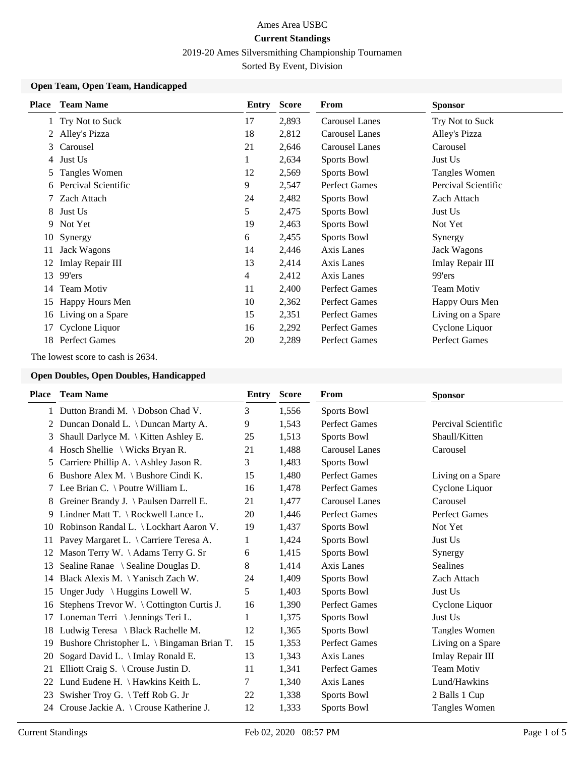2019-20 Ames Silversmithing Championship Tournamen

Sorted By Event, Division

## **Open Team, Open Team, Handicapped**

| <b>Place</b>  | <b>Team Name</b>     | Entry | <b>Score</b> | <b>From</b>           | <b>Sponsor</b>       |
|---------------|----------------------|-------|--------------|-----------------------|----------------------|
|               | Try Not to Suck      | 17    | 2,893        | <b>Carousel Lanes</b> | Try Not to Suck      |
|               | Alley's Pizza        | 18    | 2,812        | <b>Carousel Lanes</b> | Alley's Pizza        |
| 3             | Carousel             | 21    | 2,646        | <b>Carousel Lanes</b> | Carousel             |
| 4             | Just Us              | 1     | 2,634        | Sports Bowl           | Just Us              |
| $\mathcal{L}$ | Tangles Women        | 12    | 2,569        | Sports Bowl           | Tangles Women        |
| 6             | Percival Scientific  | 9     | 2,547        | <b>Perfect Games</b>  | Percival Scientific  |
| 7             | Zach Attach          | 24    | 2,482        | Sports Bowl           | Zach Attach          |
| 8             | Just Us              | 5     | 2,475        | Sports Bowl           | Just Us              |
| 9             | Not Yet              | 19    | 2,463        | Sports Bowl           | Not Yet              |
| 10            | Synergy              | 6     | 2,455        | Sports Bowl           | Synergy              |
| 11            | <b>Jack Wagons</b>   | 14    | 2,446        | Axis Lanes            | <b>Jack Wagons</b>   |
| 12            | Imlay Repair III     | 13    | 2,414        | Axis Lanes            | Imlay Repair III     |
| 13            | 99'ers               | 4     | 2,412        | Axis Lanes            | 99'ers               |
| 14            | <b>Team Motiv</b>    | 11    | 2,400        | <b>Perfect Games</b>  | <b>Team Motiv</b>    |
| 15            | Happy Hours Men      | 10    | 2,362        | <b>Perfect Games</b>  | Happy Ours Men       |
| 16            | Living on a Spare    | 15    | 2,351        | Perfect Games         | Living on a Spare    |
| 17            | Cyclone Liquor       | 16    | 2,292        | <b>Perfect Games</b>  | Cyclone Liquor       |
| 18            | <b>Perfect Games</b> | 20    | 2,289        | <b>Perfect Games</b>  | <b>Perfect Games</b> |

The lowest score to cash is 2634.

## **Open Doubles, Open Doubles, Handicapped**

|    | <b>Place</b> Team Name                           | Entry | <b>Score</b> | From                  | <b>Sponsor</b>       |
|----|--------------------------------------------------|-------|--------------|-----------------------|----------------------|
|    | 1 Dutton Brandi M. \Dobson Chad V.               | 3     | 1,556        | Sports Bowl           |                      |
| 2  | Duncan Donald L. \ Duncan Marty A.               | 9     | 1,543        | <b>Perfect Games</b>  | Percival Scientific  |
| 3  | Shaull Darlyce M. \ Kitten Ashley E.             | 25    | 1,513        | Sports Bowl           | Shaull/Kitten        |
| 4  | Hosch Shellie $\setminus$ Wicks Bryan R.         | 21    | 1,488        | <b>Carousel Lanes</b> | Carousel             |
| 5  | Carriere Phillip A. $\backslash$ Ashley Jason R. | 3     | 1,483        | Sports Bowl           |                      |
|    | 6 Bushore Alex M. \ Bushore Cindi K.             | 15    | 1,480        | <b>Perfect Games</b>  | Living on a Spare    |
|    | 7 Lee Brian C. \ Poutre William L.               | 16    | 1,478        | <b>Perfect Games</b>  | Cyclone Liquor       |
| 8  | Greiner Brandy J. \ Paulsen Darrell E.           | 21    | 1,477        | <b>Carousel Lanes</b> | Carousel             |
| 9. | Lindner Matt T. \ Rockwell Lance L.              | 20    | 1,446        | <b>Perfect Games</b>  | <b>Perfect Games</b> |
| 10 | Robinson Randal L. \ Lockhart Aaron V.           | 19    | 1,437        | Sports Bowl           | Not Yet              |
| 11 | Pavey Margaret L. \ Carriere Teresa A.           | 1     | 1,424        | Sports Bowl           | Just Us              |
| 12 | Mason Terry W. \Adams Terry G. Sr                | 6     | 1,415        | Sports Bowl           | Synergy              |
| 13 | Sealine Ranae \ Sealine Douglas D.               | 8     | 1,414        | Axis Lanes            | <b>Sealines</b>      |
| 14 | Black Alexis M. \Yanisch Zach W.                 | 24    | 1,409        | Sports Bowl           | Zach Attach          |
| 15 | Unger Judy $\{Huggins$ Lowell W.                 | 5     | 1,403        | Sports Bowl           | Just Us              |
| 16 | Stephens Trevor W. \ Cottington Curtis J.        | 16    | 1,390        | <b>Perfect Games</b>  | Cyclone Liquor       |
| 17 | Loneman Terri \ Jennings Teri L.                 | 1     | 1,375        | Sports Bowl           | Just Us              |
| 18 | Ludwig Teresa $\setminus$ Black Rachelle M.      | 12    | 1,365        | Sports Bowl           | Tangles Women        |
| 19 | Bushore Christopher L. \ Bingaman Brian T.       | 15    | 1,353        | <b>Perfect Games</b>  | Living on a Spare    |
| 20 | Sogard David L. \ Imlay Ronald E.                | 13    | 1,343        | Axis Lanes            | Imlay Repair III     |
| 21 | Elliott Craig S. \ Crouse Justin D.              | 11    | 1,341        | <b>Perfect Games</b>  | <b>Team Motiv</b>    |
| 22 | Lund Eudene H. \ Hawkins Keith L.                | 7     | 1,340        | Axis Lanes            | Lund/Hawkins         |
| 23 | Swisher Troy G. \ Teff Rob G. Jr                 | 22    | 1,338        | Sports Bowl           | 2 Balls 1 Cup        |
| 24 | Crouse Jackie A. \ Crouse Katherine J.           | 12    | 1,333        | Sports Bowl           | Tangles Women        |
|    |                                                  |       |              |                       |                      |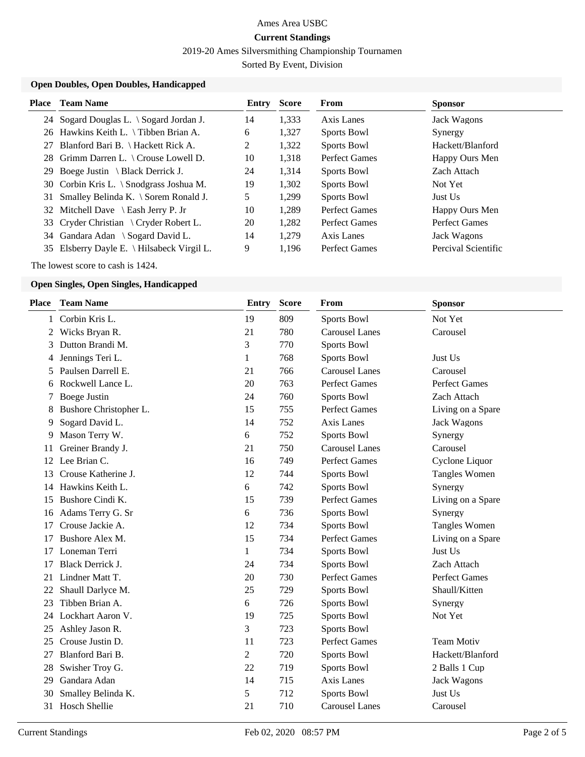2019-20 Ames Silversmithing Championship Tournamen

Sorted By Event, Division

## **Open Doubles, Open Doubles, Handicapped**

The lowest score to cash is 1424.

# **Open Singles, Open Singles, Handicapped**

| <b>Team Name</b>       | <b>Entry</b>     | <b>Score</b> | From                  | <b>Sponsor</b>       |
|------------------------|------------------|--------------|-----------------------|----------------------|
| Corbin Kris L.         | 19               | 809          | Sports Bowl           | Not Yet              |
| Wicks Bryan R.         | 21               | 780          | <b>Carousel Lanes</b> | Carousel             |
| Dutton Brandi M.       | 3                | 770          | Sports Bowl           |                      |
| Jennings Teri L.       | 1                | 768          | Sports Bowl           | Just Us              |
| Paulsen Darrell E.     | 21               | 766          | <b>Carousel Lanes</b> | Carousel             |
| Rockwell Lance L.      | 20               | 763          | <b>Perfect Games</b>  | <b>Perfect Games</b> |
| Boege Justin           | 24               | 760          | Sports Bowl           | Zach Attach          |
| Bushore Christopher L. | 15               | 755          | <b>Perfect Games</b>  | Living on a Spare    |
| Sogard David L.        | 14               | 752          | <b>Axis Lanes</b>     | <b>Jack Wagons</b>   |
| Mason Terry W.         | 6                | 752          | Sports Bowl           | Synergy              |
| Greiner Brandy J.      | 21               | 750          | <b>Carousel Lanes</b> | Carousel             |
| Lee Brian C.           | 16               | 749          | <b>Perfect Games</b>  | Cyclone Liquor       |
| Crouse Katherine J.    | 12               | 744          | Sports Bowl           | Tangles Women        |
| Hawkins Keith L.       | 6                | 742          | <b>Sports Bowl</b>    | Synergy              |
| Bushore Cindi K.       | 15               | 739          | <b>Perfect Games</b>  | Living on a Spare    |
| Adams Terry G. Sr      | 6                | 736          | Sports Bowl           | Synergy              |
| Crouse Jackie A.       | 12               | 734          | Sports Bowl           | <b>Tangles Women</b> |
| Bushore Alex M.        | 15               | 734          | <b>Perfect Games</b>  | Living on a Spare    |
| Loneman Terri          | $\mathbf{1}$     | 734          | Sports Bowl           | Just Us              |
| Black Derrick J.       | 24               | 734          | <b>Sports Bowl</b>    | Zach Attach          |
| Lindner Matt T.        | 20               | 730          | <b>Perfect Games</b>  | <b>Perfect Games</b> |
| Shaull Darlyce M.      | 25               | 729          | Sports Bowl           | Shaull/Kitten        |
| Tibben Brian A.        | 6                | 726          | Sports Bowl           | Synergy              |
| Lockhart Aaron V.      | 19               | 725          | Sports Bowl           | Not Yet              |
| Ashley Jason R.        | 3                | 723          | Sports Bowl           |                      |
| Crouse Justin D.       | 11               | 723          | <b>Perfect Games</b>  | <b>Team Motiv</b>    |
| Blanford Bari B.       | 2                | 720          | Sports Bowl           | Hackett/Blanford     |
| Swisher Troy G.        | 22               | 719          | <b>Sports Bowl</b>    | 2 Balls 1 Cup        |
| Gandara Adan           | 14               | 715          | <b>Axis Lanes</b>     | <b>Jack Wagons</b>   |
| Smalley Belinda K.     | 5                | 712          | Sports Bowl           | Just Us              |
|                        | 21               | 710          | <b>Carousel Lanes</b> | Carousel             |
|                        | 31 Hosch Shellie |              |                       |                      |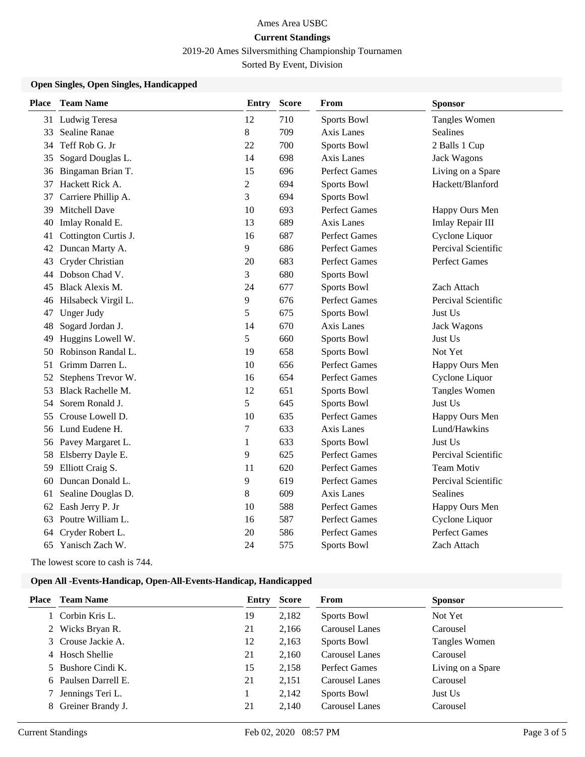2019-20 Ames Silversmithing Championship Tournamen

Sorted By Event, Division

## **Open Singles, Open Singles, Handicapped**

| <b>Place</b> | <b>Team Name</b>     | Entry          | <b>Score</b> | From                 | <b>Sponsor</b>       |
|--------------|----------------------|----------------|--------------|----------------------|----------------------|
|              | 31 Ludwig Teresa     | 12             | 710          | Sports Bowl          | <b>Tangles Women</b> |
| 33           | Sealine Ranae        | 8              | 709          | <b>Axis Lanes</b>    | Sealines             |
| 34           | Teff Rob G. Jr       | 22             | 700          | <b>Sports Bowl</b>   | 2 Balls 1 Cup        |
| 35           | Sogard Douglas L.    | 14             | 698          | <b>Axis Lanes</b>    | <b>Jack Wagons</b>   |
| 36           | Bingaman Brian T.    | 15             | 696          | <b>Perfect Games</b> | Living on a Spare    |
| 37           | Hackett Rick A.      | $\overline{c}$ | 694          | Sports Bowl          | Hackett/Blanford     |
| 37           | Carriere Phillip A.  | 3              | 694          | Sports Bowl          |                      |
| 39           | Mitchell Dave        | 10             | 693          | Perfect Games        | Happy Ours Men       |
| 40           | Imlay Ronald E.      | 13             | 689          | Axis Lanes           | Imlay Repair III     |
| 41           | Cottington Curtis J. | 16             | 687          | <b>Perfect Games</b> | Cyclone Liquor       |
| 42           | Duncan Marty A.      | 9              | 686          | <b>Perfect Games</b> | Percival Scientific  |
| 43           | Cryder Christian     | 20             | 683          | <b>Perfect Games</b> | <b>Perfect Games</b> |
| 44           | Dobson Chad V.       | 3              | 680          | Sports Bowl          |                      |
| 45           | Black Alexis M.      | 24             | 677          | <b>Sports Bowl</b>   | Zach Attach          |
| 46           | Hilsabeck Virgil L.  | 9              | 676          | <b>Perfect Games</b> | Percival Scientific  |
| 47           | <b>Unger Judy</b>    | 5              | 675          | <b>Sports Bowl</b>   | Just Us              |
| 48           | Sogard Jordan J.     | 14             | 670          | Axis Lanes           | <b>Jack Wagons</b>   |
| 49           | Huggins Lowell W.    | 5              | 660          | Sports Bowl          | Just Us              |
| 50           | Robinson Randal L.   | 19             | 658          | Sports Bowl          | Not Yet              |
| 51           | Grimm Darren L.      | 10             | 656          | <b>Perfect Games</b> | Happy Ours Men       |
| 52           | Stephens Trevor W.   | 16             | 654          | <b>Perfect Games</b> | Cyclone Liquor       |
| 53           | Black Rachelle M.    | 12             | 651          | Sports Bowl          | <b>Tangles Women</b> |
| 54           | Sorem Ronald J.      | 5              | 645          | Sports Bowl          | Just Us              |
| 55           | Crouse Lowell D.     | 10             | 635          | <b>Perfect Games</b> | Happy Ours Men       |
| 56           | Lund Eudene H.       | 7              | 633          | Axis Lanes           | Lund/Hawkins         |
|              | 56 Pavey Margaret L. | $\mathbf{1}$   | 633          | Sports Bowl          | Just Us              |
| 58           | Elsberry Dayle E.    | 9              | 625          | <b>Perfect Games</b> | Percival Scientific  |
| 59           | Elliott Craig S.     | 11             | 620          | <b>Perfect Games</b> | <b>Team Motiv</b>    |
| 60           | Duncan Donald L.     | 9              | 619          | <b>Perfect Games</b> | Percival Scientific  |
| 61           | Sealine Douglas D.   | 8              | 609          | <b>Axis Lanes</b>    | <b>Sealines</b>      |
| 62           | Eash Jerry P. Jr     | 10             | 588          | <b>Perfect Games</b> | Happy Ours Men       |
| 63           | Poutre William L.    | 16             | 587          | Perfect Games        | Cyclone Liquor       |
| 64           | Cryder Robert L.     | 20             | 586          | <b>Perfect Games</b> | <b>Perfect Games</b> |
|              | 65 Yanisch Zach W.   | 24             | 575          | Sports Bowl          | Zach Attach          |

The lowest score to cash is 744.

#### **Open All -Events-Handicap, Open-All-Events-Handicap, Handicapped**

| <b>Place</b> | <b>Team Name</b>     | Entry | <b>Score</b> | <b>From</b>           | <b>Sponsor</b>    |
|--------------|----------------------|-------|--------------|-----------------------|-------------------|
|              | Corbin Kris L.       | 19    | 2,182        | Sports Bowl           | Not Yet           |
|              | 2 Wicks Bryan R.     | 21    | 2,166        | Carousel Lanes        | Carousel          |
|              | 3 Crouse Jackie A.   | 12    | 2,163        | Sports Bowl           | Tangles Women     |
|              | 4 Hosch Shellie      | 21    | 2,160        | Carousel Lanes        | Carousel          |
|              | 5 Bushore Cindi K.   | 15    | 2,158        | Perfect Games         | Living on a Spare |
|              | 6 Paulsen Darrell E. | 21    | 2,151        | <b>Carousel Lanes</b> | Carousel          |
|              | Jennings Teri L.     |       | 2,142        | Sports Bowl           | Just Us           |
|              | 8 Greiner Brandy J.  | 21    | 2.140        | <b>Carousel Lanes</b> | Carousel          |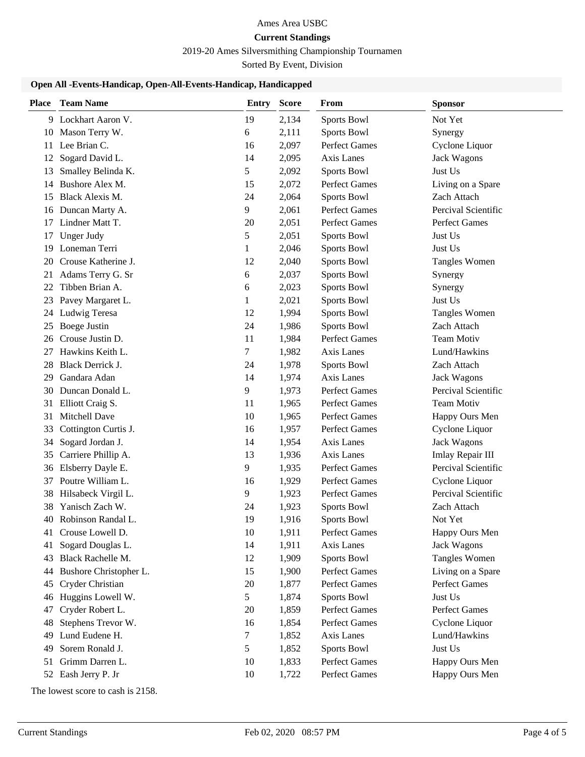# Ames Area USBC

# **Current Standings**

2019-20 Ames Silversmithing Championship Tournamen

Sorted By Event, Division

## **Open All -Events-Handicap, Open-All-Events-Handicap, Handicapped**

| <b>Place</b> | <b>Team Name</b>        | Entry | <b>Score</b> | <b>From</b>          | <b>Sponsor</b>       |
|--------------|-------------------------|-------|--------------|----------------------|----------------------|
|              | 9 Lockhart Aaron V.     | 19    | 2,134        | Sports Bowl          | Not Yet              |
|              | 10 Mason Terry W.       | 6     | 2,111        | Sports Bowl          | Synergy              |
| 11           | Lee Brian C.            | 16    | 2,097        | Perfect Games        | Cyclone Liquor       |
| 12           | Sogard David L.         | 14    | 2,095        | Axis Lanes           | <b>Jack Wagons</b>   |
| 13           | Smalley Belinda K.      | 5     | 2,092        | Sports Bowl          | Just Us              |
| 14           | Bushore Alex M.         | 15    | 2,072        | Perfect Games        | Living on a Spare    |
| 15           | Black Alexis M.         | 24    | 2,064        | Sports Bowl          | Zach Attach          |
| 16           | Duncan Marty A.         | 9     | 2,061        | Perfect Games        | Percival Scientific  |
| 17           | Lindner Matt T.         | 20    | 2,051        | <b>Perfect Games</b> | <b>Perfect Games</b> |
| 17           | <b>Unger Judy</b>       | 5     | 2,051        | Sports Bowl          | Just Us              |
| 19           | Loneman Terri           | 1     | 2,046        | Sports Bowl          | Just Us              |
| 20           | Crouse Katherine J.     | 12    | 2,040        | Sports Bowl          | Tangles Women        |
| 21           | Adams Terry G. Sr       | 6     | 2,037        | Sports Bowl          | Synergy              |
| 22           | Tibben Brian A.         | 6     | 2,023        | Sports Bowl          | Synergy              |
| 23           | Pavey Margaret L.       | 1     | 2,021        | Sports Bowl          | Just Us              |
| 24           | Ludwig Teresa           | 12    | 1,994        | Sports Bowl          | <b>Tangles Women</b> |
| 25           | <b>Boege Justin</b>     | 24    | 1,986        | Sports Bowl          | Zach Attach          |
| 26           | Crouse Justin D.        | 11    | 1,984        | Perfect Games        | <b>Team Motiv</b>    |
| 27           | Hawkins Keith L.        | 7     | 1,982        | Axis Lanes           | Lund/Hawkins         |
| 28           | <b>Black Derrick J.</b> | 24    | 1,978        | Sports Bowl          | Zach Attach          |
| 29           | Gandara Adan            | 14    | 1,974        | Axis Lanes           | <b>Jack Wagons</b>   |
| 30           | Duncan Donald L.        | 9     | 1,973        | Perfect Games        | Percival Scientific  |
| 31           | Elliott Craig S.        | 11    | 1,965        | Perfect Games        | <b>Team Motiv</b>    |
| 31           | Mitchell Dave           | 10    | 1,965        | Perfect Games        | Happy Ours Men       |
| 33           | Cottington Curtis J.    | 16    | 1,957        | Perfect Games        | Cyclone Liquor       |
| 34           | Sogard Jordan J.        | 14    | 1,954        | Axis Lanes           | <b>Jack Wagons</b>   |
| 35           | Carriere Phillip A.     | 13    | 1,936        | Axis Lanes           | Imlay Repair III     |
| 36           | Elsberry Dayle E.       | 9     | 1,935        | Perfect Games        | Percival Scientific  |
| 37           | Poutre William L.       | 16    | 1,929        | Perfect Games        | Cyclone Liquor       |
| 38           | Hilsabeck Virgil L.     | 9     | 1,923        | Perfect Games        | Percival Scientific  |
| 38           | Yanisch Zach W.         | 24    | 1,923        | Sports Bowl          | Zach Attach          |
|              | 40 Robinson Randal L.   | 19    | 1,916        | Sports Bowl          | Not Yet              |
| 41           | Crouse Lowell D.        | 10    | 1,911        | Perfect Games        | Happy Ours Men       |
| 41           | Sogard Douglas L.       | 14    | 1,911        | Axis Lanes           | <b>Jack Wagons</b>   |
| 43           | Black Rachelle M.       | 12    | 1,909        | Sports Bowl          | Tangles Women        |
| 44           | Bushore Christopher L.  | 15    | 1,900        | Perfect Games        | Living on a Spare    |
| 45           | Cryder Christian        | 20    | 1,877        | Perfect Games        | Perfect Games        |
| 46           | Huggins Lowell W.       | 5     | 1,874        | Sports Bowl          | Just Us              |
| 47           | Cryder Robert L.        | 20    | 1,859        | Perfect Games        | Perfect Games        |
| 48           | Stephens Trevor W.      | 16    | 1,854        | Perfect Games        | Cyclone Liquor       |
| 49           | Lund Eudene H.          | 7     | 1,852        | Axis Lanes           | Lund/Hawkins         |
| 49           | Sorem Ronald J.         | 5     | 1,852        | Sports Bowl          | Just Us              |
| 51           | Grimm Darren L.         | 10    | 1,833        | Perfect Games        | Happy Ours Men       |
|              | 52 Eash Jerry P. Jr     | 10    | 1,722        | Perfect Games        | Happy Ours Men       |

The lowest score to cash is 2158.